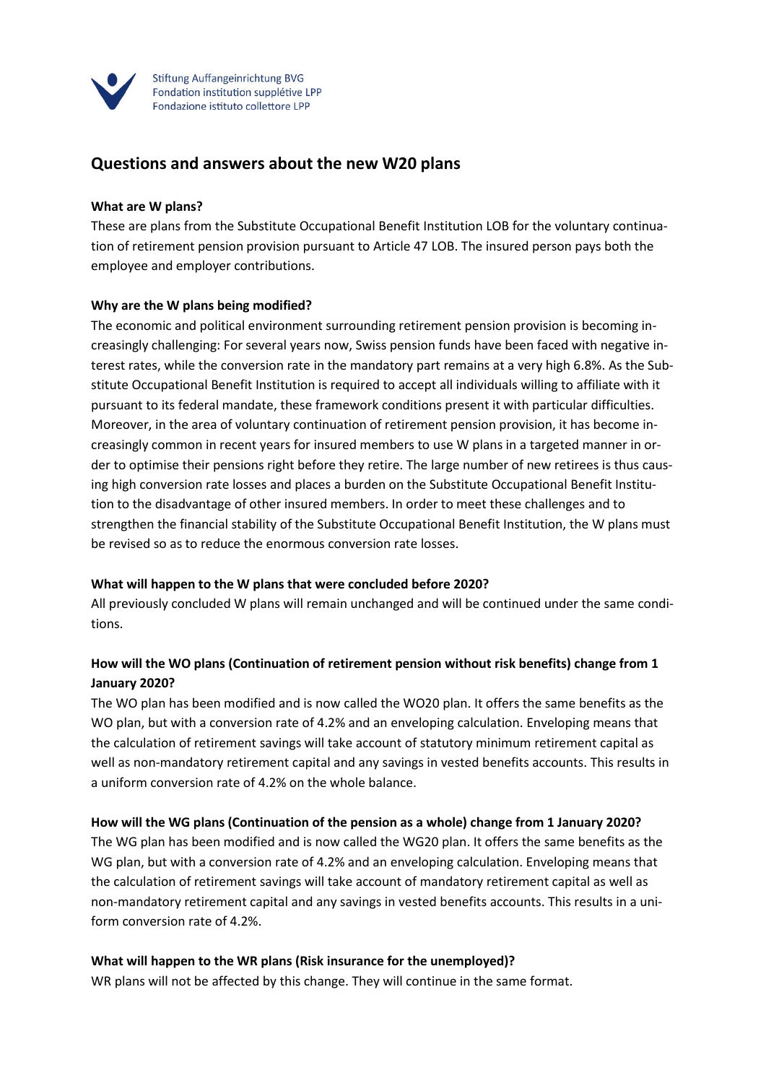

Stiftung Auffangeinrichtung BVG Fondation institution supplétive LPP Fondazione istituto collettore LPP

# **Questions and answers about the new W20 plans**

#### **What are W plans?**

These are plans from the Substitute Occupational Benefit Institution LOB for the voluntary continuation of retirement pension provision pursuant to Article 47 LOB. The insured person pays both the employee and employer contributions.

#### **Why are the W plans being modified?**

The economic and political environment surrounding retirement pension provision is becoming increasingly challenging: For several years now, Swiss pension funds have been faced with negative interest rates, while the conversion rate in the mandatory part remains at a very high 6.8%. As the Substitute Occupational Benefit Institution is required to accept all individuals willing to affiliate with it pursuant to its federal mandate, these framework conditions present it with particular difficulties. Moreover, in the area of voluntary continuation of retirement pension provision, it has become increasingly common in recent years for insured members to use W plans in a targeted manner in order to optimise their pensions right before they retire. The large number of new retirees is thus causing high conversion rate losses and places a burden on the Substitute Occupational Benefit Institution to the disadvantage of other insured members. In order to meet these challenges and to strengthen the financial stability of the Substitute Occupational Benefit Institution, the W plans must be revised so as to reduce the enormous conversion rate losses.

#### **What will happen to the W plans that were concluded before 2020?**

All previously concluded W plans will remain unchanged and will be continued under the same conditions.

## **How will the WO plans (Continuation of retirement pension without risk benefits) change from 1 January 2020?**

The WO plan has been modified and is now called the WO20 plan. It offers the same benefits as the WO plan, but with a conversion rate of 4.2% and an enveloping calculation. Enveloping means that the calculation of retirement savings will take account of statutory minimum retirement capital as well as non-mandatory retirement capital and any savings in vested benefits accounts. This results in a uniform conversion rate of 4.2% on the whole balance.

## **How will the WG plans (Continuation of the pension as a whole) change from 1 January 2020?**

The WG plan has been modified and is now called the WG20 plan. It offers the same benefits as the WG plan, but with a conversion rate of 4.2% and an enveloping calculation. Enveloping means that the calculation of retirement savings will take account of mandatory retirement capital as well as non-mandatory retirement capital and any savings in vested benefits accounts. This results in a uniform conversion rate of 4.2%.

#### **What will happen to the WR plans (Risk insurance for the unemployed)?**

WR plans will not be affected by this change. They will continue in the same format.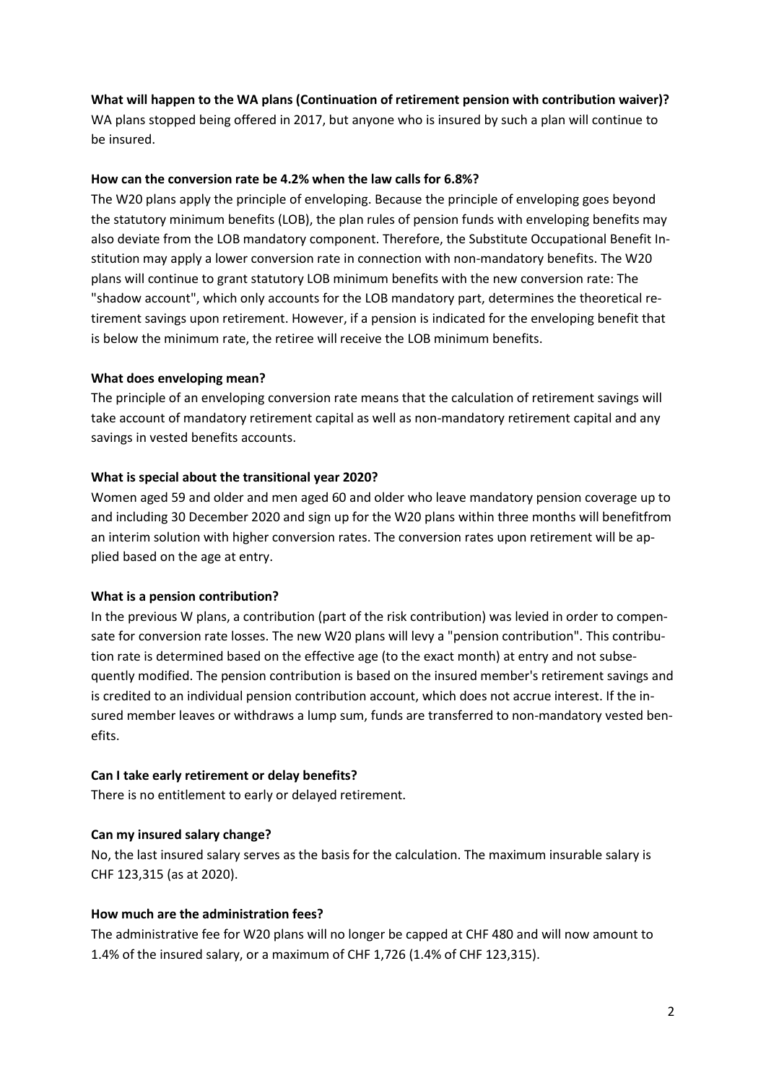### **What will happen to the WA plans (Continuation of retirement pension with contribution waiver)?**

WA plans stopped being offered in 2017, but anyone who is insured by such a plan will continue to be insured.

#### **How can the conversion rate be 4.2% when the law calls for 6.8%?**

The W20 plans apply the principle of enveloping. Because the principle of enveloping goes beyond the statutory minimum benefits (LOB), the plan rules of pension funds with enveloping benefits may also deviate from the LOB mandatory component. Therefore, the Substitute Occupational Benefit Institution may apply a lower conversion rate in connection with non-mandatory benefits. The W20 plans will continue to grant statutory LOB minimum benefits with the new conversion rate: The "shadow account", which only accounts for the LOB mandatory part, determines the theoretical retirement savings upon retirement. However, if a pension is indicated for the enveloping benefit that is below the minimum rate, the retiree will receive the LOB minimum benefits.

#### **What does enveloping mean?**

The principle of an enveloping conversion rate means that the calculation of retirement savings will take account of mandatory retirement capital as well as non-mandatory retirement capital and any savings in vested benefits accounts.

### **What is special about the transitional year 2020?**

Women aged 59 and older and men aged 60 and older who leave mandatory pension coverage up to and including 30 December 2020 and sign up for the W20 plans within three months will benefitfrom an interim solution with higher conversion rates. The conversion rates upon retirement will be applied based on the age at entry.

## **What is a pension contribution?**

In the previous W plans, a contribution (part of the risk contribution) was levied in order to compensate for conversion rate losses. The new W20 plans will levy a "pension contribution". This contribution rate is determined based on the effective age (to the exact month) at entry and not subsequently modified. The pension contribution is based on the insured member's retirement savings and is credited to an individual pension contribution account, which does not accrue interest. If the insured member leaves or withdraws a lump sum, funds are transferred to non-mandatory vested benefits.

## **Can I take early retirement or delay benefits?**

There is no entitlement to early or delayed retirement.

## **Can my insured salary change?**

No, the last insured salary serves as the basis for the calculation. The maximum insurable salary is CHF 123,315 (as at 2020).

## **How much are the administration fees?**

The administrative fee for W20 plans will no longer be capped at CHF 480 and will now amount to 1.4% of the insured salary, or a maximum of CHF 1,726 (1.4% of CHF 123,315).